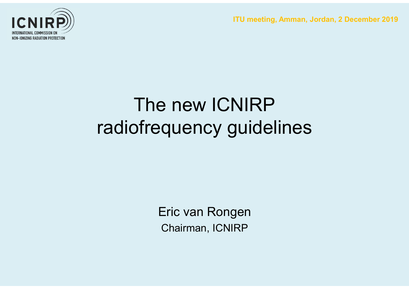ITU meeting, Amman, Jordan, 2 December 2019



# The new ICNIRP radiofrequency guidelines

Eric van Rongen Chairman, ICNIRP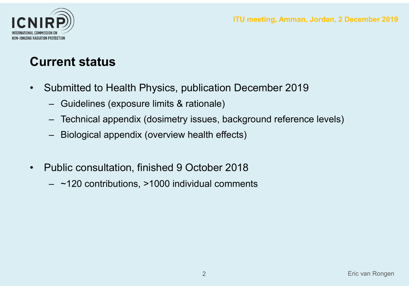

- ALCOMASSION ON THE **FIGHT STATUS**<br>• Submitted to Health Physics, publication December 2019<br>• Guidelines (exposure limits & rationale)<br>• Technical appendix (dosimetry issues, background reference levels) **NIRP**<br>
AL COMMISSION ON<br> **Current status**<br>• Submitted to Health Physics, publication D
	-
- FU meeting, Amman, Jordan,<br>
MISTER (EXPORT)<br>
Submitted to Health Physics, publication December 2019<br>
 Guidelines (exposure limits & rationale)<br>
 Technical appendix (dosimetry issues, background reference level<br>
 Biologi FRAND (TU meeting, Amman, Jordan, 2 December 2019<br>
Markethan<br>
Submitted to Health Physics, publication December 2019<br>
- Guidelines (exposure limits & rationale)<br>
- Technical appendix (dosimetry issues, background reference FU meeting, Amman, Jordan, 21<br>
Submitted to Health Physics, publication December 2019<br>
– Guidelines (exposure limits & rationale)<br>
– Technical appendix (dosimetry issues, background reference levels)<br>
– Biological appendi • Submitted to Health Physics, publication December 2019<br>
• Guidelines (exposure limits & rationale)<br>
– Technical appendix (dosimetry issues, background reference levels)<br>
– Biological appendix (overview health effects)<br> rrent status<br>
Submitted to Health Physics, publication December 2019<br>
- Guidelines (exposure limits & rationale)<br>
- Technical appendix (dosimetry issues, background reference levels)<br>
- Biological appendix (overview health
	-
- -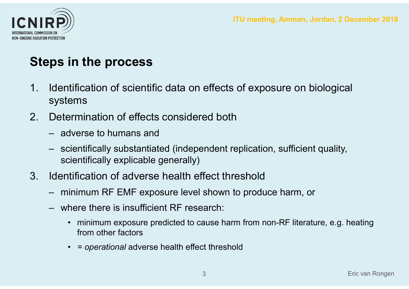

- 1. ISONALIGN CONSULTER CONSULTER ARMAIN AND ITU Meeting, Amman, Jordan, 2 December 2019<br>
1. Identification of scientific data on effects of exposure on biological<br>
systems<br>
2. Determination of effects considered both systems <sup>21. D</sup><br> **2. Determination of scientific data on effects of exposure on biologystems**<br>
2. Determination of effects considered both<br>
- adverse to humans and<br>
- scientifically substantiated (independent replication sufficien (TU meeting, Amman<br>
ps in the process<br>
Identification of scientific data on effects of exposure or<br>
systems<br>
Determination of effects considered both<br>
— adverse to humans and<br>
— scientifically substantiated (independent r 1999)<br>
Solentification of scientific data on effects of exposure on biological<br>
systems<br>
Determination of effects considered both<br>
- adverse to humans and<br>
- scientifically substantiated (independent replication, sufficien **s in the process**<br> **s** in the process<br>
entification of scientific data on effects of exposure on bi<br>
stermination of effects considered both<br>
adverse to humans and<br>
scientifically substantiated (independent replication, s Steps in the process<br>
1. Identification of scientific data on effects of exposure on biologica<br>
systems<br>
2. Determination of effects considered both<br>
- adverse to humans and<br>
- scientifically substantiated (independent rep -<br>
Identification of scientific data on effects of exposure on biological<br>
systems<br>
Determination of effects considered both<br>
- adverse to humans and<br>
- scientifically substantiated (independent replication, sufficient qua Identification of scientific data on effects of exp<br>systems<br>Determination of effects considered both<br>- adverse to humans and<br>- scientifically substantiated (independent replicatic<br>scientifically explicable generally)<br>Ident  $NIR\widehat{P}$ <br>
Steps in the process<br>
1. Identification of scientific data on effects of exp
- -
- ermination of effects considered both<br>
dverse to humans and<br>
dientifically substantiated (independent replication, sufficient quality,<br>
iternifically explicable generally)<br>
utification of adverse health effect threshold<br>
i
- -
	- - from other factors
		- = operational adverse health effect threshold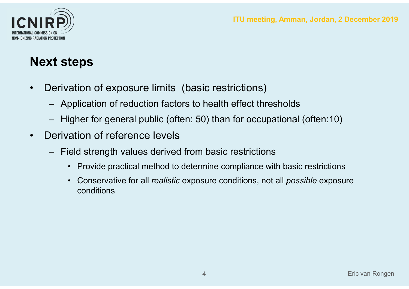

# Next steps

- Derivation of exposure limits (basic restrictions)<br>• Derivation of exposure limits (basic restrictions)<br>• Application of reduction factors to health effect thresholds<br>• Higher for general public (often: 50) than for occu
	-
- (TU meeting, Amman, Jordan, 2 December<br>
Wellschink<br>
Verivation of exposure limits (basic restrictions)<br>
 Application of reduction factors to health effect thresholds<br>
 Higher for general public (often: 50) than for occup (TD)<br>
(TO mesing, Amman, Jordan, 2 December 2019)<br>
Weighter for general public (often: 50) than for occupational (often: 10)<br>
— Higher for general public (often: 50) than for occupational (often: 10)<br>
— Field strength valu • Derivation of exposure limits (basic restrictions)<br>• Derivation of exposure limits (basic restrictions)<br>• Application of reduction factors to health effect thresholds<br>• Higher for general public (often: 50) than for occu where the street of exposure limits (basic restrictions)<br>
Application of exposure limits (basic restrictions)<br>
- Application of reduction factors to health effect thresholds<br>
- Higher for general public (often: 50) than fo
- - -
- **teps**<br>• ation of exposure limits (basic restrictions)<br>• pplication of reduction factors to health effect thresholds<br>• igher for general public (often: 50) than for occupational (often:10)<br>• ation of reference levels<br>• Pro **teps**<br>• cation of exposure limits (basic restrictions)<br>• pplication of reduction factors to health effect thresholds<br>• conservation of reference levels<br>• conditions of reference levels<br>• Conservative for all *realistic* e conditions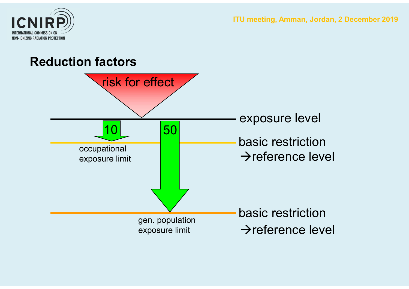

## Reduction factors

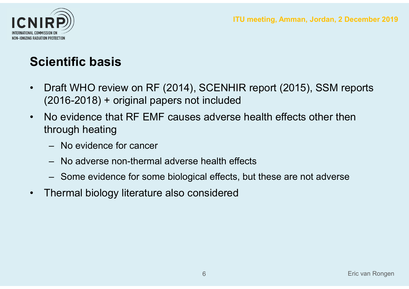

- Draft WHO review on RF (2014), SCENHIR report (2015), SSM reports<br>• Draft WHO review on RF (2014), SCENHIR report (2015), SSM reports<br>• No evidence that RF EMF causes adverse health effects other then (2016-2018) + original papers not included • NIRP<br>• Scientific basis<br>• Draft WHO review on RF (2014), SCENHIR report (2015), SSM reports<br>• No evidence that RF EMF causes adverse health effects other then<br>• No evidence that RF EMF causes adverse health effects other **entific basis**<br>
Draft WHO review on RF (2014), SCENHIR report (2015), SSM reports<br>
2016-2018) + original papers not included<br>
lo evidence that RF EMF causes adverse health effects other then<br>
rrough heating<br>
– No evidence **NIRP**<br>
ALCOMMISSION ON<br>
SCIE**ntific basis**<br>• Draft WHO review on RF (2014), SCENHIR
- through heating **entific basis<br>
Praft WHO review on RF (2014), SCE<br>
2016-2018) + original papers not include<br>
Jo evidence that RF EMF causes adv<br>
Trough heating<br>
- No evidence for cancer<br>
- No adverse non-thermal adverse healt<br>
- Some ev entific basis**<br>
Draft WHO review on RF (2014), SCENHIR report (2015), SSI<br>
2016-2018) + original papers not included<br>
Jo evidence that RF EMF causes adverse health effects other<br>
nrough heating<br>
— No evidence for cancer<br> • Draft WHO review on RF (2014), SCENHIR report (2015), S<br>
(2016-2018) + original papers not included<br>
• No evidence that RF EMF causes adverse health effects other<br>
through heating<br>
– No evidence for cancer<br>
– No adverse
	-
	-
	-
-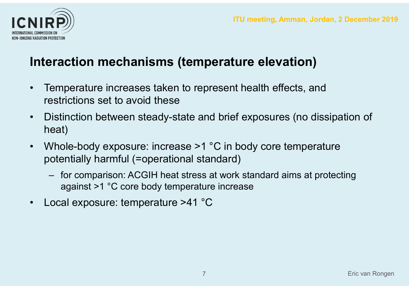

- TU meeting, Amman, Jordan, 2 December<br> **Interaction mechanisms (temperature elevation)**<br>• Temperature increases taken to represent health effects, and<br>• Distinction between steady-state and brief exposures (no dissipatio restrictions set to avoid these ITU meeting, Amman, Jordan, 2 December 2019<br>Interaction mechanisms (temperature elevation)<br>• Temperature increases taken to represent health effects, and
- TU meeting, Amman, Jordan, 2 December 2019<br>
 Distinction **mechanisms (temperature elevation)**<br>
 Temperature increases taken to represent health effects, and<br>
 Distinction between steady-state and brief exposures (no d heat) • Temperature increases taken to represent health effects, and<br>
• Temperature increases taken to represent health effects, and<br>
• Distinction between steady-state and brief exposures (no dissipation of<br>
heat)<br>
• Whole-body **exercion mechanisms (temperature elevation)**<br>
Eemperature increases taken to represent health effects, and<br>
estrictions set to avoid these<br>
Distinction between steady-state and brief exposures (no dissipation of<br>
eat)<br>
Vh action mechanisms (temperature elevation)<br>nperature increases taken to represent health effects, and<br>rictions set to avoid these<br>tinction between steady-state and brief exposures (no dissipation of<br>t)<br>ole-body exposure: i
- potentially harmful (=operational standard) • Temperature increases taken to represent health effects, an restrictions set to avoid these<br>
• Distinction between steady-state and brief exposures (no divert)<br>
• Whole-body exposure: increase >1 °C in body core tempera
	-
-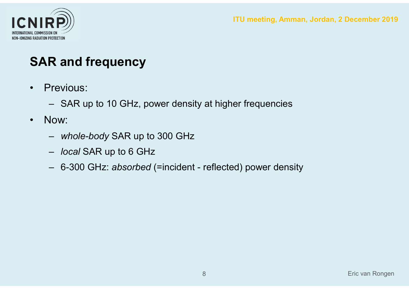

# SAR and frequency

- 
- NIRP<br> **SAR and frequency<br>• Previous:**<br>• SAR up to 10 GHz, power density<br>• Now: FORD<br>
FIU meeting, Amman, Jordan, 2 December 2019<br>
Previous:<br>
- SAR up to 10 GHz, power density at higher frequencies<br>
Jow:<br>
- *whole-body* SAR up to 300 GHz **SAR and frequency**<br>
• Previous:<br>
– SAR up to 30 GHz, power density at higher frequencies<br>
• Now:<br>
– *whole-body* SAR up to 300 GHz<br>
– *local* SAR up to 6 GHz<br>
– 6-300 GHz; absorbed (=incident - reflected) power density
- -
	-
- **R and frequency**<br>
Previous:<br>
 SAR up to 10 GHz, power density at higher frequencies<br>
low:<br>
 *whole-body* SAR up to 300 GHz<br>
 *local* SAR up to 6 GHz<br>
 6-300 GHz: *absorbed* (=incident reflected) power density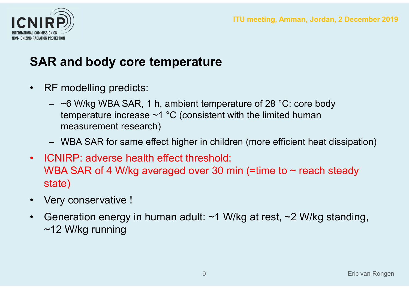

## SAR and body core temperature

- 
- **SAR and body core temperature**<br>• RF modelling predicts:<br>• RF modelling predicts:<br>•  $\sim$  6 W/kg WBA SAR, 1 h, ambient temperature of 2<br>• temperature increase ~1 °C (consistent with the lift FU meeting, Amman, Jordan, 2 December<br> **R** and body core temperature<br>  $2F$  modelling predicts:<br>  $-$  ~6 W/kg WBA SAR, 1 h, ambient temperature of 28 °C: core body<br>
temperature increase ~1 °C (consistent with the limited hu temperature increase  $\sim$ 1 °C (consistent with the limited human measurement research) **FU meeting, Amman, Jordan, 2 December 2019**<br>
WHENN<br>
R and body core temperature<br>  $\begin{array}{r} \mathcal{R} \rightarrow \mathcal{R} \rightarrow \mathcal{R} \rightarrow \mathcal{R} \rightarrow \mathcal{R} \rightarrow \mathcal{R} \rightarrow \mathcal{R} \rightarrow \mathcal{R} \rightarrow \mathcal{R} \rightarrow \mathcal{R} \rightarrow \mathcal{R} \rightarrow \mathcal{R} \rightarrow \mathcal{R} \rightarrow \mathcal{R} \rightarrow \mathcal{R} \rightarrow \mathcal{R} \rightarrow \mathcal$ 
	-
- **SAR and body core temperature**<br>
 RF modelling predicts:<br>  $\sim$  6 W/kg WBA SAR, 1 h, ambient temperature of 28<br>
temperature increase  $\sim$  1 °C (consistent with the lim<br>
measurement research)<br>
 WBA SAR for same effect WBA SAR of 4 W/kg averaged over 30 min (=time to  $\sim$  reach steady state) • RF modelling predicts:<br>  $-$  ~6 W/kg WBA SAR, 1 h, ambient t<br>
temperature increase ~1 °C (consi<br>
measurement research)<br>  $-$  WBA SAR for same effect higher ii<br>
• ICNIRP: adverse health effect thre<br>
WBA SAR of 4 W/kg avera – ∼6 W/kg WBA SAR, 1 h, ambient temperature of 28 °C: core body<br>
temperature increase ~1 °C (consistent with the limited human<br>
measurement research)<br>
– WBA SAR for same effect higher in children (more efficient heat dis
- 
- ~12 W/kg running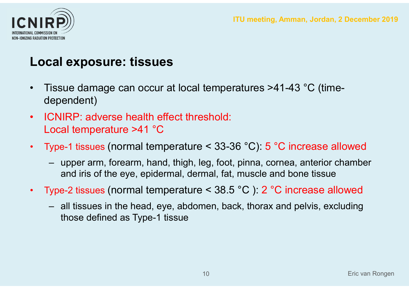



- TISSUE damage can occur at local temperatures >41-43 °C (time-<br>• Tissue damage can occur at local temperatures >41-43 °C (time-<br>• ICNIRP: adverse health effect threshold: dependent) • TO MANIS AND TO MANIS (TO MANIS PRECISE)<br>• Tissue damage can occur at local temperatures ><br>• dependent)<br>• ICNIRP: adverse health effect threshold:<br>Local temperature >41 °C<br>• Type-1 tissues (normal temperature < 33-36 °C) • Tissue damage can occur at local temperatures >41-43 °C (time-<br>
• Tissue damage can occur at local temperatures >41-43 °C (time-<br>
• ICNIRP: adverse health effect threshold:<br>
• Local temperature >41 °C<br>
• Type-1 tissues ( • Tissue damage can occur at local temperatures >41-43 °C (time-<br>dependent)<br>• ICNIRP: adverse health effect threshold:<br>Local temperature >41 °C<br>• Type-1 tissues (normal temperature < 33-36 °C): 5 °C increase allowed<br>– uppe **NIRP**<br>Local exposure: tissues<br>• Tissue damage can occur at local temperature<br>• Tissue damage can occur at local temperature
- Local temperature >41 °C
- 
- Figure 2013<br>
Figure damage can occur at local temperatures >41-43 °C (time-<br>
ependent)<br>
CNIRP: adverse health effect threshold:<br>
cocal temperature >41 °C<br>
ype-1 tissues (normal temperature < 33-36 °C): 5 °C increase allow and iris of the eye, epidermal, dermal, fat, muscle and bone tissue The damage can occur at local temperatures >41-43 °C (time-<br>
EP)<br>
ENIRP: adverse health effect threshold:<br>
cocal temperature >41 °C<br>
ype-1 tissues (normal temperature < 33-36 °C): 5 °C increase allowed<br>
– upper arm, forea
- - those defined as Type-1 tissue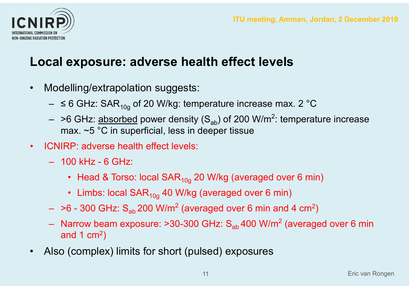

# **• MODEL CORPENTS AND REALLY AN EXECUTE AN ALCOMMENT CORPORATION CORPORATION CORPORATION SUGGESTS:**<br>
• Modelling/extrapolation suggests:<br>
–  $\leq 6$  GHz: SAR<sub>10g</sub> of 20 W/kg: temperature increase max. 2 °C<br>
– >6 GHz: absor LOCAL EXPOSURE: adverse health effect levels<br>Local exposure: adverse health effect levels<br>• Modelling/extrapolation suggests:

- -
- **EXECUTE:**<br>
SOMBON FIGURE 2019<br>
SOMBON FIGURE 2019<br> **CALC EXPOSURE: adverse health effect levels**<br>
Addelling/extrapolation suggests:<br>  $\leq 6$  GHz: SAR<sub>10g</sub> of 20 W/kg: temperature increase max. 2 °C<br>  $>6$  GHz: <u>abso</u> **EXECUTE:**<br>
WERE CONCILED MANNIFERDIES<br> **Addelling/extrapolation suggests:**<br>  $\leq$  6 GHz: SAR<sub>10g</sub> of 20 W/kg: temperature increase max. 2 °C<br>  $-$  >6 GHz: <u>absorbed</u> power density (S<sub>ab</sub>) of 200 W/m<sup>2</sup>: temperature in  $-$  >6 GHz: absorbed power density (S<sub>ab</sub>) of 200 W/m<sup>2</sup>: temperature increase max. ~5 °C in superficial, less in deeper tissue **Local exposure: adverse health effect**<br>
• Modelling/extrapolation suggests:<br>
–  $\leq 6$  GHz: SAR<sub>10g</sub> of 20 W/kg: temperature i<br>
–  $>6$  GHz: <u>absorbed</u> power density (S<sub>ab</sub>) of 2<br>
max. ~5 °C in superficial, less in deeper **Cal exposure: adverse health effect I**<br>
Modelling/extrapolation suggests:<br>  $- \leq 6$  GHz: SAR<sub>10g</sub> of 20 W/kg: temperature increa<br>  $- >6$  GHz: <u>absorbed</u> power density (S<sub>ab</sub>) of 200 W/<br>
max. ~5 °C in superficial, less in **exposure: adverse health effect levels**<br>
elling/extrapolation suggests:<br>
6 GHz: SAR<sub>10g</sub> of 20 W/kg: temperature increase max. 2 °C<br>
6 GHz: <u>absorbed</u> power density (S<sub>ab</sub>) of 200 W/m<sup>2</sup>: temperature increase<br>
ax. ~5 °C • Hing/extrapolation suggests:<br>
6 GHz: SAR<sub>10g</sub> of 20 W/kg: temperature increase max. 2 °C<br>
6 GHz: <u>absorbed</u> power density (S<sub>ab</sub>) of 200 W/m<sup>2</sup>: temperature in<br>
ax. ~5 °C in superficial, less in deeper tissue<br>
RP: adver
- - -
		-
	- $-$  >6 300 GHz: S<sub>ab</sub> 200 W/m<sup>2</sup> (averaged over 6 min and 4 cm<sup>2</sup>) )
- Modelling/extrapolation suggests:<br>  $-$  ≤ 6 GHz: SAR<sub>10g</sub> of 20 W/kg: temperature increas<br>  $-$  >6 GHz: <u>absorbed</u> power density (S<sub>ab</sub>) of 200 W/<br>
max. ~5 °C in superficial, less in deeper tissue<br>
CNIRP: adverse health eff – ≤ 6 GHz: SAR<sub>10g</sub> of 20 W/kg: temperature increase max. 2 °C<br>
– >6 GHz: <u>absorbed</u> power density (S<sub>ab</sub>) of 200 W/m<sup>2</sup>: temperature increase<br>
max. ~5 °C in superficial, less in deeper tissue<br>
CNIRP: adverse health effe - Narrow beam exposure:  $>$ 30-300 GHz: S<sub>ab</sub> 400 W/m<sup>2</sup> (averaged over 6 min and 1  $cm<sup>2</sup>$ ) ) max. ~5 °C in superficial, less in deeper tissue<br>
• ICNIRP: adverse health effect levels:<br>
– 100 kHz - 6 GHz:<br>
• Head & Torso: local SAR<sub>10g</sub> 20 W/kg (averaged over 6 min)<br>
• Limbs: local SAR<sub>10g</sub> 40 W/kg (averaged over 6
-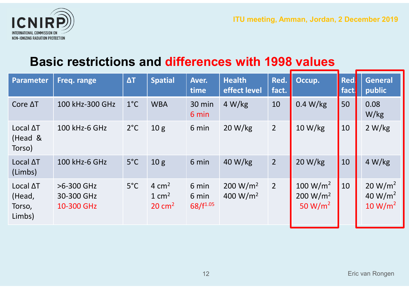



| <b>ITU meeting, Amman, Jordan, 2 December 2019</b><br><b>ICNIRP</b><br>ION-IONIZING RADIATION PROTECTION |                                        |               |                                                           |                                 |                                              |                |                                                  |                     |                                                                   |
|----------------------------------------------------------------------------------------------------------|----------------------------------------|---------------|-----------------------------------------------------------|---------------------------------|----------------------------------------------|----------------|--------------------------------------------------|---------------------|-------------------------------------------------------------------|
| <b>Basic restrictions and differences with 1998 values</b>                                               |                                        |               |                                                           |                                 |                                              |                |                                                  |                     |                                                                   |
| <b>Parameter</b>                                                                                         | Freq. range                            | $\Delta T$    | <b>Spatial</b>                                            | Aver.<br>time                   | <b>Health</b><br>effect level                | Red.<br>fact.  | Occup.                                           | <b>Red</b><br>fact. | <b>General</b><br>public                                          |
| Core $\Delta T$                                                                                          | 100 kHz-300 GHz                        | $1^{\circ}$ C | <b>WBA</b>                                                | 30 min<br>6 min                 | 4 W/kg                                       | 10             | 0.4 W/kg                                         | 50                  | 0.08<br>W/kg                                                      |
| Local AT<br>(Head &<br>Torso)                                                                            | 100 kHz-6 GHz                          | $2^{\circ}$ C | 10 <sub>g</sub>                                           | 6 min                           | 20 W/kg                                      | $\overline{2}$ | 10 W/kg                                          | 10                  | 2 W/kg                                                            |
| Local AT<br>(Limbs)                                                                                      | 100 kHz-6 GHz                          | $5^{\circ}$ C | 10 <sub>g</sub>                                           | 6 min                           | 40 W/kg                                      | $\overline{2}$ | 20 W/kg                                          | <b>10</b>           | 4 W/kg                                                            |
| Local AT<br>(Head,<br>Torso,<br>Limbs)                                                                   | >6-300 GHz<br>30-300 GHz<br>10-300 GHz | $5^{\circ}$ C | $4 \text{ cm}^2$<br>$1 \text{ cm}^2$<br>$20 \text{ cm}^2$ | 6 min<br>6 min<br>$68/f^{1.05}$ | 200 W/m <sup>2</sup><br>400 W/m <sup>2</sup> | $\overline{2}$ | 100 $W/m^2$<br>200 W/m <sup>2</sup><br>50 $W/m2$ | 10                  | 20 W/m <sup>2</sup><br>40 W/m <sup>2</sup><br>10 W/m <sup>2</sup> |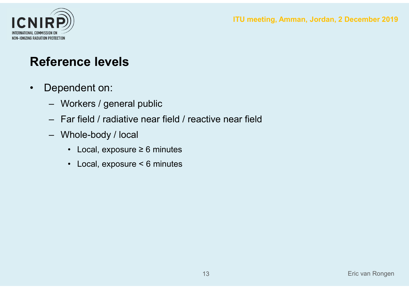

## Reference levels

- -
- FOREND (TU meeting, Amm<br>
Maria<br>
Ference levels<br>
Dependent on:<br>
 Workers / general public<br>
 Far field / radiative near field / reactive near field<br>
 Whole-body / local FRAND FITU meeting, Amman, Jordan, 2 December 2019<br>
FITU meeting, Amman, Jordan, 2 December 2019<br>
Dependent on:<br>
— Workers / general public<br>
— Far field / radiative near field / reactive near field<br>
— Whole-body / local<br>
-Frence levels<br>
Dependent on:<br>
- Workers / general public<br>
- Far field / radiative near field / reactive<br>
- Whole-body / local<br>
- Local, exposure ≥ 6 minutes<br>
- Local, exposure < 6 minutes • **nce levels**<br>• Morkers / general public<br>• Vorkers / general public<br>• Cocal, exposure ≥ 6 minutes<br>• Local, exposure < 6 minutes<br>• Local, exposure < 6 minutes • **nce levels**<br>• Morkers / general public<br>• Corkers / general public<br>• Cocal, exposure ≥ 6 minutes<br>• Local, exposure < 6 minutes<br>• Local, exposure < 6 minutes
	- -
		-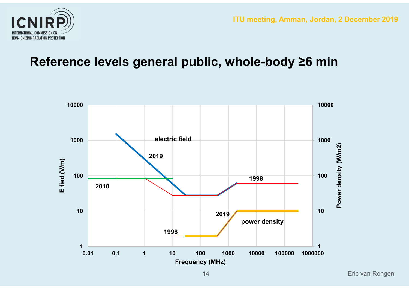

ITU meeting, Amman, Jordan, 2 December 2019

# NIRD<br>ALGOMANG CONGRECION<br>Reference levels general public, whole-body ≥6 min<br>Neference levels general public, whole-body ≥6 min

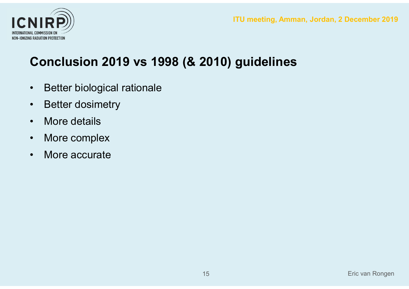

# **(ALCOMERGING R)**<br> **CONCLUSION 2019 vs 1998 (& 2010) guideling**<br>
• Better biological rationale<br>
• Better dosimetry<br>
• More dotails **NIRP)**<br> **Conclusion 2019 vs 1998 (& 2010)**<br>• Better biological rationale<br>• Better dosimetry<br>• More details **NIRP**<br> **Conclusion 2019 vs 1998 (& 2**<br>
• Better biological rationale<br>• Better dosimetry<br>• More details<br>• More complex<br>• More complex **NIRP**<br> **Conclusion 2019 vs 1998 (& 2**<br>
• Better biological rationale<br>
• Better dosimetry<br>
• More details<br>
• More complex<br>
• More accurate AL CONDINISHOW **CONCLUSION 2019 VS 1998 (& 2**<br>• Better biological rationale<br>• Better dosimetry<br>• More details<br>• More accurate<br>• More accurate NIRP)<br>ALCOMMISION ON<br>Conclusion 2019 vs 1998 (& 2010) guidelines<br>• Better biological rationale

- 
- 
- 
- 
-